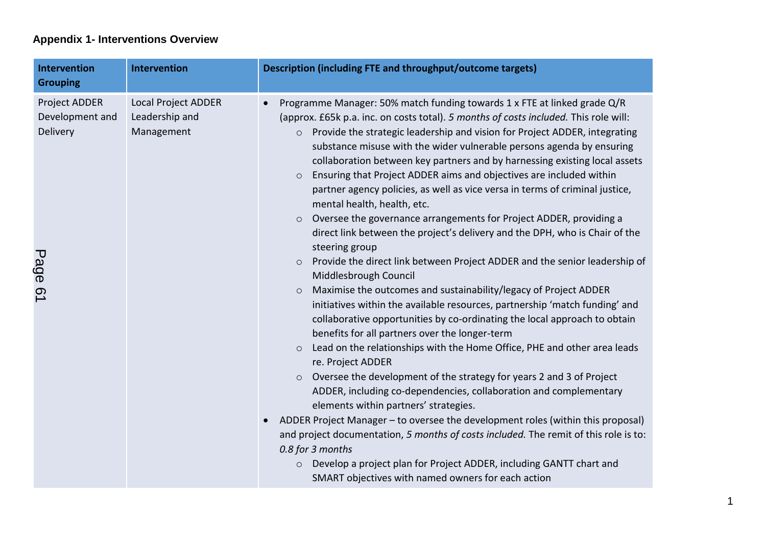## **Appendix 1- Interventions Overview**

| <b>Intervention</b><br><b>Grouping</b>                  | <b>Intervention</b>                                        | Description (including FTE and throughput/outcome targets)                                                                                                                                                                                                                                                                                                                                                                                                                                                                                                                                                                                                                                                                                                                                                                                                                                                                                                                                                                                                                                                                                                                                                                                                                                                                                                                                                                                                                                                                                                                                                                                                                                                                                                                                                                                                             |
|---------------------------------------------------------|------------------------------------------------------------|------------------------------------------------------------------------------------------------------------------------------------------------------------------------------------------------------------------------------------------------------------------------------------------------------------------------------------------------------------------------------------------------------------------------------------------------------------------------------------------------------------------------------------------------------------------------------------------------------------------------------------------------------------------------------------------------------------------------------------------------------------------------------------------------------------------------------------------------------------------------------------------------------------------------------------------------------------------------------------------------------------------------------------------------------------------------------------------------------------------------------------------------------------------------------------------------------------------------------------------------------------------------------------------------------------------------------------------------------------------------------------------------------------------------------------------------------------------------------------------------------------------------------------------------------------------------------------------------------------------------------------------------------------------------------------------------------------------------------------------------------------------------------------------------------------------------------------------------------------------------|
| Project ADDER<br>Development and<br>Delivery<br>Page 61 | <b>Local Project ADDER</b><br>Leadership and<br>Management | Programme Manager: 50% match funding towards 1 x FTE at linked grade Q/R<br>(approx. £65k p.a. inc. on costs total). 5 months of costs included. This role will:<br>Provide the strategic leadership and vision for Project ADDER, integrating<br>$\circ$<br>substance misuse with the wider vulnerable persons agenda by ensuring<br>collaboration between key partners and by harnessing existing local assets<br>Ensuring that Project ADDER aims and objectives are included within<br>$\circ$<br>partner agency policies, as well as vice versa in terms of criminal justice,<br>mental health, health, etc.<br>Oversee the governance arrangements for Project ADDER, providing a<br>$\circ$<br>direct link between the project's delivery and the DPH, who is Chair of the<br>steering group<br>Provide the direct link between Project ADDER and the senior leadership of<br>$\circ$<br>Middlesbrough Council<br>Maximise the outcomes and sustainability/legacy of Project ADDER<br>$\circ$<br>initiatives within the available resources, partnership 'match funding' and<br>collaborative opportunities by co-ordinating the local approach to obtain<br>benefits for all partners over the longer-term<br>Lead on the relationships with the Home Office, PHE and other area leads<br>$\circ$<br>re. Project ADDER<br>Oversee the development of the strategy for years 2 and 3 of Project<br>$\circ$<br>ADDER, including co-dependencies, collaboration and complementary<br>elements within partners' strategies.<br>ADDER Project Manager - to oversee the development roles (within this proposal)<br>and project documentation, 5 months of costs included. The remit of this role is to:<br>0.8 for 3 months<br>Develop a project plan for Project ADDER, including GANTT chart and<br>$\circ$<br>SMART objectives with named owners for each action |

1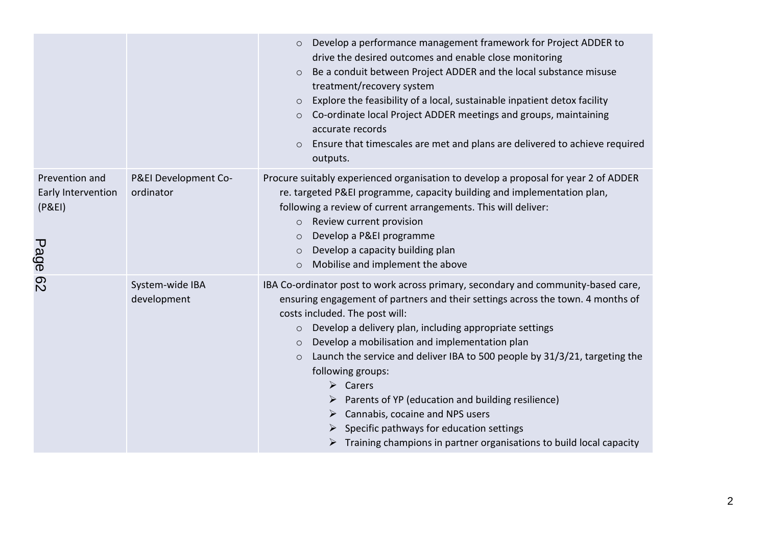|                                                       |                                   | Develop a performance management framework for Project ADDER to<br>$\circ$<br>drive the desired outcomes and enable close monitoring<br>Be a conduit between Project ADDER and the local substance misuse<br>$\circ$<br>treatment/recovery system<br>Explore the feasibility of a local, sustainable inpatient detox facility<br>$\circ$<br>Co-ordinate local Project ADDER meetings and groups, maintaining<br>$\circ$<br>accurate records<br>Ensure that timescales are met and plans are delivered to achieve required<br>$\circ$<br>outputs.                                                                                                                                                                                     |
|-------------------------------------------------------|-----------------------------------|--------------------------------------------------------------------------------------------------------------------------------------------------------------------------------------------------------------------------------------------------------------------------------------------------------------------------------------------------------------------------------------------------------------------------------------------------------------------------------------------------------------------------------------------------------------------------------------------------------------------------------------------------------------------------------------------------------------------------------------|
| Prevention and<br>Early Intervention<br>(P&E)<br>Page | P&EI Development Co-<br>ordinator | Procure suitably experienced organisation to develop a proposal for year 2 of ADDER<br>re. targeted P&EI programme, capacity building and implementation plan,<br>following a review of current arrangements. This will deliver:<br>o Review current provision<br>Develop a P&EI programme<br>$\circ$<br>Develop a capacity building plan<br>$\circ$<br>Mobilise and implement the above<br>$\circ$                                                                                                                                                                                                                                                                                                                                  |
| <b>P2</b>                                             | System-wide IBA<br>development    | IBA Co-ordinator post to work across primary, secondary and community-based care,<br>ensuring engagement of partners and their settings across the town. 4 months of<br>costs included. The post will:<br>Develop a delivery plan, including appropriate settings<br>$\circ$<br>Develop a mobilisation and implementation plan<br>$\circ$<br>Launch the service and deliver IBA to 500 people by 31/3/21, targeting the<br>$\circ$<br>following groups:<br>$\triangleright$ Carers<br>$\triangleright$ Parents of YP (education and building resilience)<br>Cannabis, cocaine and NPS users<br>➤<br>Specific pathways for education settings<br>$\triangleright$ Training champions in partner organisations to build local capacity |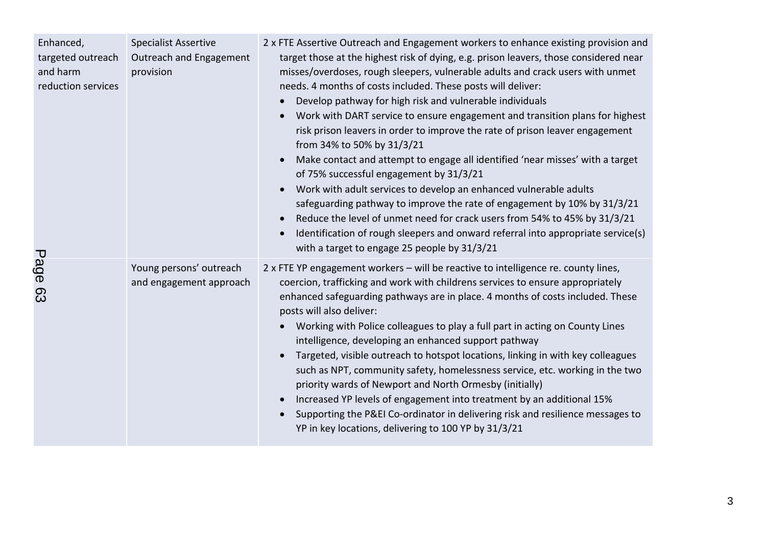| Enhanced,<br>targeted outreach<br>and harm<br>reduction services | <b>Specialist Assertive</b><br>Outreach and Engagement<br>provision | 2 x FTE Assertive Outreach and Engagement workers to enhance existing provision and<br>target those at the highest risk of dying, e.g. prison leavers, those considered near<br>misses/overdoses, rough sleepers, vulnerable adults and crack users with unmet<br>needs. 4 months of costs included. These posts will deliver:<br>Develop pathway for high risk and vulnerable individuals<br>Work with DART service to ensure engagement and transition plans for highest<br>risk prison leavers in order to improve the rate of prison leaver engagement<br>from 34% to 50% by 31/3/21<br>Make contact and attempt to engage all identified 'near misses' with a target<br>of 75% successful engagement by 31/3/21<br>Work with adult services to develop an enhanced vulnerable adults<br>safeguarding pathway to improve the rate of engagement by 10% by 31/3/21<br>Reduce the level of unmet need for crack users from 54% to 45% by 31/3/21<br>Identification of rough sleepers and onward referral into appropriate service(s)<br>with a target to engage 25 people by 31/3/21 |
|------------------------------------------------------------------|---------------------------------------------------------------------|----------------------------------------------------------------------------------------------------------------------------------------------------------------------------------------------------------------------------------------------------------------------------------------------------------------------------------------------------------------------------------------------------------------------------------------------------------------------------------------------------------------------------------------------------------------------------------------------------------------------------------------------------------------------------------------------------------------------------------------------------------------------------------------------------------------------------------------------------------------------------------------------------------------------------------------------------------------------------------------------------------------------------------------------------------------------------------------|
| Page 63                                                          | Young persons' outreach<br>and engagement approach                  | 2 x FTE YP engagement workers - will be reactive to intelligence re. county lines,<br>coercion, trafficking and work with childrens services to ensure appropriately<br>enhanced safeguarding pathways are in place. 4 months of costs included. These<br>posts will also deliver:<br>Working with Police colleagues to play a full part in acting on County Lines<br>intelligence, developing an enhanced support pathway<br>Targeted, visible outreach to hotspot locations, linking in with key colleagues<br>such as NPT, community safety, homelessness service, etc. working in the two<br>priority wards of Newport and North Ormesby (initially)<br>Increased YP levels of engagement into treatment by an additional 15%<br>Supporting the P&EI Co-ordinator in delivering risk and resilience messages to<br>YP in key locations, delivering to 100 YP by 31/3/21                                                                                                                                                                                                            |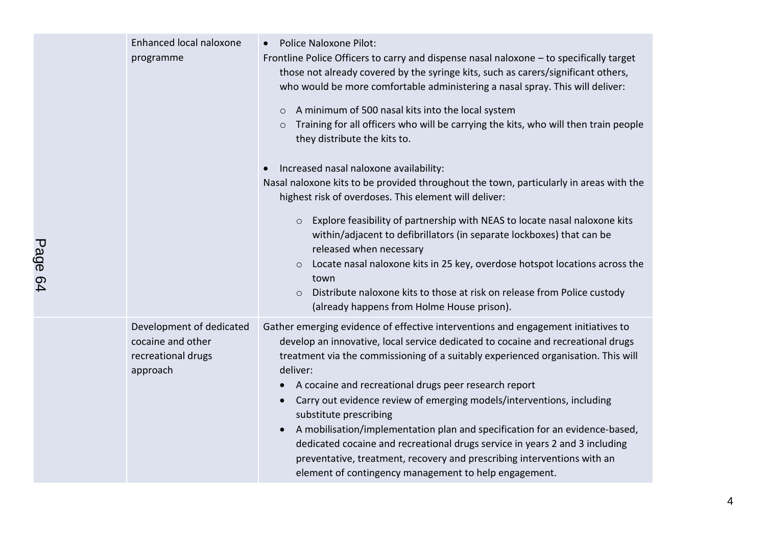| Enhanced local naloxone<br>programme                                            | <b>Police Naloxone Pilot:</b><br>Frontline Police Officers to carry and dispense nasal naloxone - to specifically target<br>those not already covered by the syringe kits, such as carers/significant others,<br>who would be more comfortable administering a nasal spray. This will deliver:<br>A minimum of 500 nasal kits into the local system<br>$\circ$                                                                                                                                                                                                                                                                                                                                                                                    |
|---------------------------------------------------------------------------------|---------------------------------------------------------------------------------------------------------------------------------------------------------------------------------------------------------------------------------------------------------------------------------------------------------------------------------------------------------------------------------------------------------------------------------------------------------------------------------------------------------------------------------------------------------------------------------------------------------------------------------------------------------------------------------------------------------------------------------------------------|
|                                                                                 | Training for all officers who will be carrying the kits, who will then train people<br>$\circ$<br>they distribute the kits to.                                                                                                                                                                                                                                                                                                                                                                                                                                                                                                                                                                                                                    |
|                                                                                 | Increased nasal naloxone availability:<br>Nasal naloxone kits to be provided throughout the town, particularly in areas with the<br>highest risk of overdoses. This element will deliver:                                                                                                                                                                                                                                                                                                                                                                                                                                                                                                                                                         |
|                                                                                 | Explore feasibility of partnership with NEAS to locate nasal naloxone kits<br>$\circ$<br>within/adjacent to defibrillators (in separate lockboxes) that can be<br>released when necessary<br>o Locate nasal naloxone kits in 25 key, overdose hotspot locations across the<br>town<br>Distribute naloxone kits to those at risk on release from Police custody<br>$\circ$<br>(already happens from Holme House prison).                                                                                                                                                                                                                                                                                                                           |
| Development of dedicated<br>cocaine and other<br>recreational drugs<br>approach | Gather emerging evidence of effective interventions and engagement initiatives to<br>develop an innovative, local service dedicated to cocaine and recreational drugs<br>treatment via the commissioning of a suitably experienced organisation. This will<br>deliver:<br>A cocaine and recreational drugs peer research report<br>$\bullet$<br>Carry out evidence review of emerging models/interventions, including<br>substitute prescribing<br>A mobilisation/implementation plan and specification for an evidence-based,<br>dedicated cocaine and recreational drugs service in years 2 and 3 including<br>preventative, treatment, recovery and prescribing interventions with an<br>element of contingency management to help engagement. |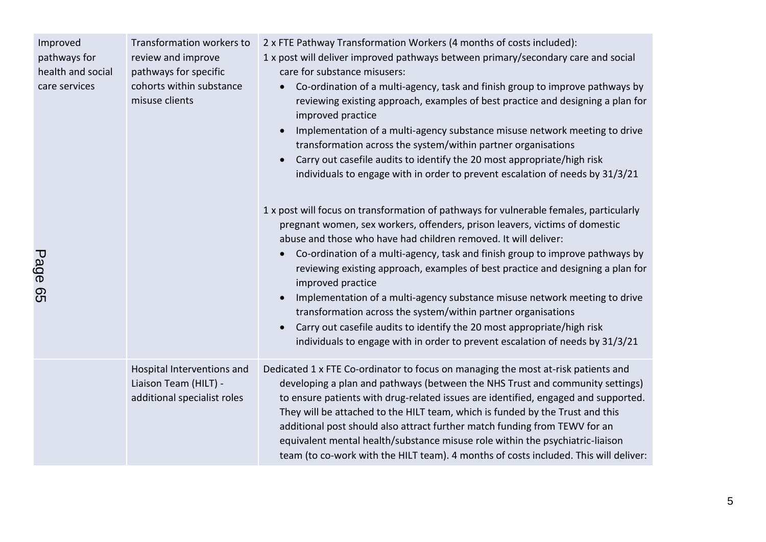| Improved<br>pathways for<br>health and social<br>care services<br>Pane ĥ5 | Transformation workers to<br>review and improve<br>pathways for specific<br>cohorts within substance<br>misuse clients | 2 x FTE Pathway Transformation Workers (4 months of costs included):<br>1 x post will deliver improved pathways between primary/secondary care and social<br>care for substance misusers:<br>Co-ordination of a multi-agency, task and finish group to improve pathways by<br>reviewing existing approach, examples of best practice and designing a plan for<br>improved practice<br>Implementation of a multi-agency substance misuse network meeting to drive<br>$\bullet$<br>transformation across the system/within partner organisations<br>Carry out casefile audits to identify the 20 most appropriate/high risk<br>individuals to engage with in order to prevent escalation of needs by 31/3/21<br>1 x post will focus on transformation of pathways for vulnerable females, particularly<br>pregnant women, sex workers, offenders, prison leavers, victims of domestic<br>abuse and those who have had children removed. It will deliver:<br>Co-ordination of a multi-agency, task and finish group to improve pathways by<br>$\bullet$<br>reviewing existing approach, examples of best practice and designing a plan for<br>improved practice<br>Implementation of a multi-agency substance misuse network meeting to drive<br>$\bullet$<br>transformation across the system/within partner organisations<br>Carry out casefile audits to identify the 20 most appropriate/high risk<br>individuals to engage with in order to prevent escalation of needs by 31/3/21 |
|---------------------------------------------------------------------------|------------------------------------------------------------------------------------------------------------------------|--------------------------------------------------------------------------------------------------------------------------------------------------------------------------------------------------------------------------------------------------------------------------------------------------------------------------------------------------------------------------------------------------------------------------------------------------------------------------------------------------------------------------------------------------------------------------------------------------------------------------------------------------------------------------------------------------------------------------------------------------------------------------------------------------------------------------------------------------------------------------------------------------------------------------------------------------------------------------------------------------------------------------------------------------------------------------------------------------------------------------------------------------------------------------------------------------------------------------------------------------------------------------------------------------------------------------------------------------------------------------------------------------------------------------------------------------------------------------------------|
|                                                                           | Hospital Interventions and<br>Liaison Team (HILT) -<br>additional specialist roles                                     | Dedicated 1 x FTE Co-ordinator to focus on managing the most at-risk patients and<br>developing a plan and pathways (between the NHS Trust and community settings)<br>to ensure patients with drug-related issues are identified, engaged and supported.<br>They will be attached to the HILT team, which is funded by the Trust and this<br>additional post should also attract further match funding from TEWV for an<br>equivalent mental health/substance misuse role within the psychiatric-liaison<br>team (to co-work with the HILT team). 4 months of costs included. This will deliver:                                                                                                                                                                                                                                                                                                                                                                                                                                                                                                                                                                                                                                                                                                                                                                                                                                                                                     |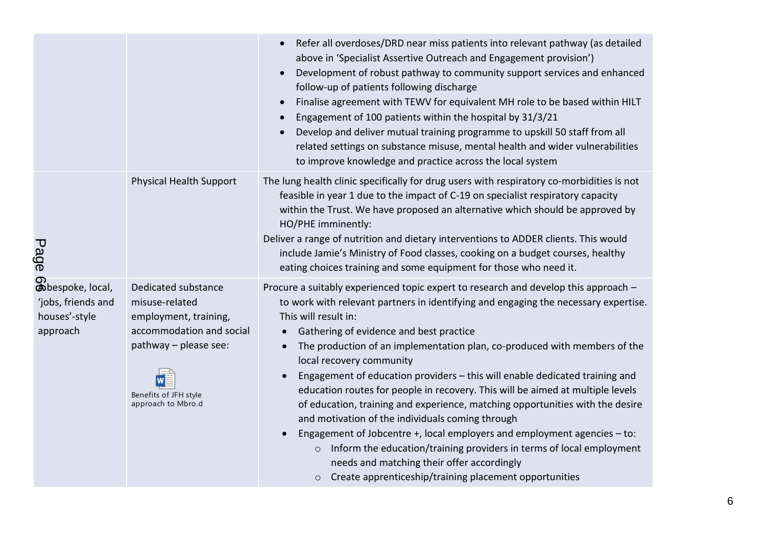|                                                                     |                                                                                                                                                                    | Refer all overdoses/DRD near miss patients into relevant pathway (as detailed<br>above in 'Specialist Assertive Outreach and Engagement provision')<br>Development of robust pathway to community support services and enhanced<br>follow-up of patients following discharge<br>Finalise agreement with TEWV for equivalent MH role to be based within HILT<br>Engagement of 100 patients within the hospital by 31/3/21<br>Develop and deliver mutual training programme to upskill 50 staff from all<br>related settings on substance misuse, mental health and wider vulnerabilities<br>to improve knowledge and practice across the local system                                                                                                                                                                                                                                                                                                                                  |
|---------------------------------------------------------------------|--------------------------------------------------------------------------------------------------------------------------------------------------------------------|---------------------------------------------------------------------------------------------------------------------------------------------------------------------------------------------------------------------------------------------------------------------------------------------------------------------------------------------------------------------------------------------------------------------------------------------------------------------------------------------------------------------------------------------------------------------------------------------------------------------------------------------------------------------------------------------------------------------------------------------------------------------------------------------------------------------------------------------------------------------------------------------------------------------------------------------------------------------------------------|
| Page                                                                | <b>Physical Health Support</b>                                                                                                                                     | The lung health clinic specifically for drug users with respiratory co-morbidities is not<br>feasible in year 1 due to the impact of C-19 on specialist respiratory capacity<br>within the Trust. We have proposed an alternative which should be approved by<br>HO/PHE imminently:<br>Deliver a range of nutrition and dietary interventions to ADDER clients. This would<br>include Jamie's Ministry of Food classes, cooking on a budget courses, healthy<br>eating choices training and some equipment for those who need it.                                                                                                                                                                                                                                                                                                                                                                                                                                                     |
| Obespoke, local,<br>'jobs, friends and<br>houses'-style<br>approach | Dedicated substance<br>misuse-related<br>employment, training,<br>accommodation and social<br>pathway - please see:<br>Benefits of JFH style<br>approach to Mbro.d | Procure a suitably experienced topic expert to research and develop this approach -<br>to work with relevant partners in identifying and engaging the necessary expertise.<br>This will result in:<br>Gathering of evidence and best practice<br>$\bullet$<br>The production of an implementation plan, co-produced with members of the<br>$\bullet$<br>local recovery community<br>Engagement of education providers - this will enable dedicated training and<br>$\bullet$<br>education routes for people in recovery. This will be aimed at multiple levels<br>of education, training and experience, matching opportunities with the desire<br>and motivation of the individuals coming through<br>Engagement of Jobcentre +, local employers and employment agencies - to:<br>Inform the education/training providers in terms of local employment<br>$\circ$<br>needs and matching their offer accordingly<br>Create apprenticeship/training placement opportunities<br>$\circ$ |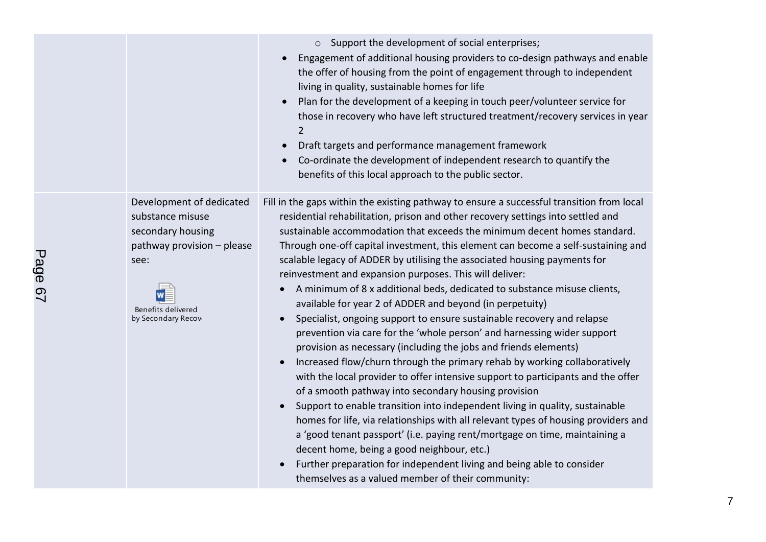|                                                                                                                                                      | o Support the development of social enterprises;<br>Engagement of additional housing providers to co-design pathways and enable<br>the offer of housing from the point of engagement through to independent<br>living in quality, sustainable homes for life<br>Plan for the development of a keeping in touch peer/volunteer service for<br>those in recovery who have left structured treatment/recovery services in year<br>$\overline{2}$<br>Draft targets and performance management framework<br>Co-ordinate the development of independent research to quantify the<br>benefits of this local approach to the public sector.                                                                                                                                                                                                                                                                                                                                                                                                                                                                                                                                                                                                                                                                                                                                                                                                                                                                                                        |
|------------------------------------------------------------------------------------------------------------------------------------------------------|--------------------------------------------------------------------------------------------------------------------------------------------------------------------------------------------------------------------------------------------------------------------------------------------------------------------------------------------------------------------------------------------------------------------------------------------------------------------------------------------------------------------------------------------------------------------------------------------------------------------------------------------------------------------------------------------------------------------------------------------------------------------------------------------------------------------------------------------------------------------------------------------------------------------------------------------------------------------------------------------------------------------------------------------------------------------------------------------------------------------------------------------------------------------------------------------------------------------------------------------------------------------------------------------------------------------------------------------------------------------------------------------------------------------------------------------------------------------------------------------------------------------------------------------|
| Development of dedicated<br>substance misuse<br>secondary housing<br>pathway provision - please<br>see:<br>Benefits delivered<br>by Secondary Recove | Fill in the gaps within the existing pathway to ensure a successful transition from local<br>residential rehabilitation, prison and other recovery settings into settled and<br>sustainable accommodation that exceeds the minimum decent homes standard.<br>Through one-off capital investment, this element can become a self-sustaining and<br>scalable legacy of ADDER by utilising the associated housing payments for<br>reinvestment and expansion purposes. This will deliver:<br>A minimum of 8 x additional beds, dedicated to substance misuse clients,<br>$\bullet$<br>available for year 2 of ADDER and beyond (in perpetuity)<br>Specialist, ongoing support to ensure sustainable recovery and relapse<br>prevention via care for the 'whole person' and harnessing wider support<br>provision as necessary (including the jobs and friends elements)<br>Increased flow/churn through the primary rehab by working collaboratively<br>$\bullet$<br>with the local provider to offer intensive support to participants and the offer<br>of a smooth pathway into secondary housing provision<br>Support to enable transition into independent living in quality, sustainable<br>homes for life, via relationships with all relevant types of housing providers and<br>a 'good tenant passport' (i.e. paying rent/mortgage on time, maintaining a<br>decent home, being a good neighbour, etc.)<br>Further preparation for independent living and being able to consider<br>themselves as a valued member of their community: |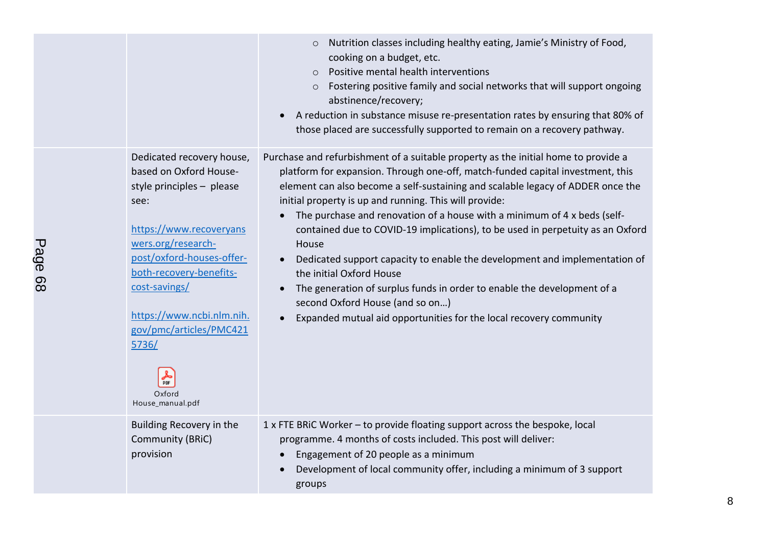|                                                                                                                                                                                                                                                                                                                                 | Nutrition classes including healthy eating, Jamie's Ministry of Food,<br>$\circ$<br>cooking on a budget, etc.<br>Positive mental health interventions<br>$\circ$<br>Fostering positive family and social networks that will support ongoing<br>$\circ$<br>abstinence/recovery;<br>A reduction in substance misuse re-presentation rates by ensuring that 80% of<br>those placed are successfully supported to remain on a recovery pathway.                                                                                                                                                                                                                                                                                                                                                                      |
|---------------------------------------------------------------------------------------------------------------------------------------------------------------------------------------------------------------------------------------------------------------------------------------------------------------------------------|------------------------------------------------------------------------------------------------------------------------------------------------------------------------------------------------------------------------------------------------------------------------------------------------------------------------------------------------------------------------------------------------------------------------------------------------------------------------------------------------------------------------------------------------------------------------------------------------------------------------------------------------------------------------------------------------------------------------------------------------------------------------------------------------------------------|
| Dedicated recovery house,<br>based on Oxford House-<br>style principles - please<br>see:<br>https://www.recoveryans<br>wers.org/research-<br>post/oxford-houses-offer-<br>both-recovery-benefits-<br>cost-savings/<br>https://www.ncbi.nlm.nih.<br>gov/pmc/articles/PMC421<br>5736/<br><b>PDF</b><br>Oxford<br>House_manual.pdf | Purchase and refurbishment of a suitable property as the initial home to provide a<br>platform for expansion. Through one-off, match-funded capital investment, this<br>element can also become a self-sustaining and scalable legacy of ADDER once the<br>initial property is up and running. This will provide:<br>The purchase and renovation of a house with a minimum of 4 x beds (self-<br>contained due to COVID-19 implications), to be used in perpetuity as an Oxford<br>House<br>Dedicated support capacity to enable the development and implementation of<br>the initial Oxford House<br>The generation of surplus funds in order to enable the development of a<br>$\bullet$<br>second Oxford House (and so on)<br>Expanded mutual aid opportunities for the local recovery community<br>$\bullet$ |
| Building Recovery in the<br>Community (BRiC)<br>provision                                                                                                                                                                                                                                                                       | 1 x FTE BRIC Worker - to provide floating support across the bespoke, local<br>programme. 4 months of costs included. This post will deliver:<br>Engagement of 20 people as a minimum<br>Development of local community offer, including a minimum of 3 support<br>groups                                                                                                                                                                                                                                                                                                                                                                                                                                                                                                                                        |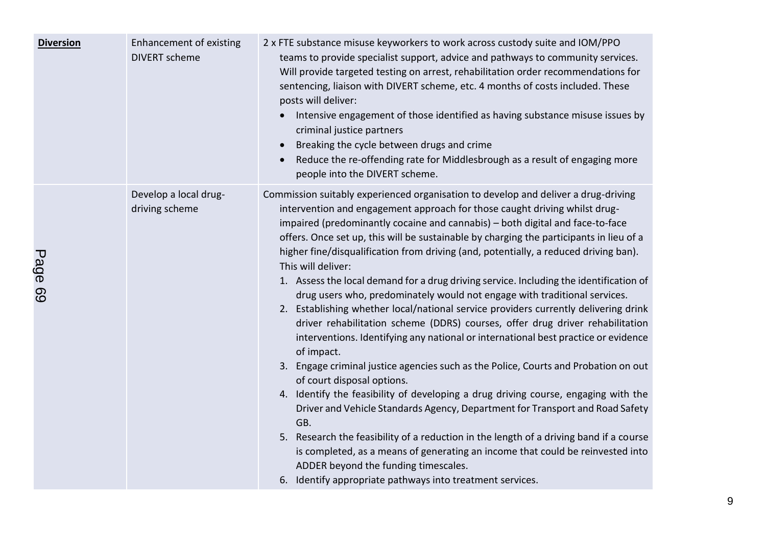| <b>Diversion</b> | Enhancement of existing<br><b>DIVERT</b> scheme | 2 x FTE substance misuse keyworkers to work across custody suite and IOM/PPO<br>teams to provide specialist support, advice and pathways to community services.<br>Will provide targeted testing on arrest, rehabilitation order recommendations for<br>sentencing, liaison with DIVERT scheme, etc. 4 months of costs included. These<br>posts will deliver:<br>Intensive engagement of those identified as having substance misuse issues by<br>criminal justice partners<br>Breaking the cycle between drugs and crime<br>Reduce the re-offending rate for Middlesbrough as a result of engaging more<br>$\bullet$<br>people into the DIVERT scheme.                                                                                                                                                                                                                                                                                                                                                                                                                                                                                                                                                                                                                                                                                                                                                                                                                                           |
|------------------|-------------------------------------------------|---------------------------------------------------------------------------------------------------------------------------------------------------------------------------------------------------------------------------------------------------------------------------------------------------------------------------------------------------------------------------------------------------------------------------------------------------------------------------------------------------------------------------------------------------------------------------------------------------------------------------------------------------------------------------------------------------------------------------------------------------------------------------------------------------------------------------------------------------------------------------------------------------------------------------------------------------------------------------------------------------------------------------------------------------------------------------------------------------------------------------------------------------------------------------------------------------------------------------------------------------------------------------------------------------------------------------------------------------------------------------------------------------------------------------------------------------------------------------------------------------|
| Pane R9          | Develop a local drug-<br>driving scheme         | Commission suitably experienced organisation to develop and deliver a drug-driving<br>intervention and engagement approach for those caught driving whilst drug-<br>impaired (predominantly cocaine and cannabis) - both digital and face-to-face<br>offers. Once set up, this will be sustainable by charging the participants in lieu of a<br>higher fine/disqualification from driving (and, potentially, a reduced driving ban).<br>This will deliver:<br>1. Assess the local demand for a drug driving service. Including the identification of<br>drug users who, predominately would not engage with traditional services.<br>2. Establishing whether local/national service providers currently delivering drink<br>driver rehabilitation scheme (DDRS) courses, offer drug driver rehabilitation<br>interventions. Identifying any national or international best practice or evidence<br>of impact.<br>3. Engage criminal justice agencies such as the Police, Courts and Probation on out<br>of court disposal options.<br>4. Identify the feasibility of developing a drug driving course, engaging with the<br>Driver and Vehicle Standards Agency, Department for Transport and Road Safety<br>GB.<br>5. Research the feasibility of a reduction in the length of a driving band if a course<br>is completed, as a means of generating an income that could be reinvested into<br>ADDER beyond the funding timescales.<br>6. Identify appropriate pathways into treatment services. |

9